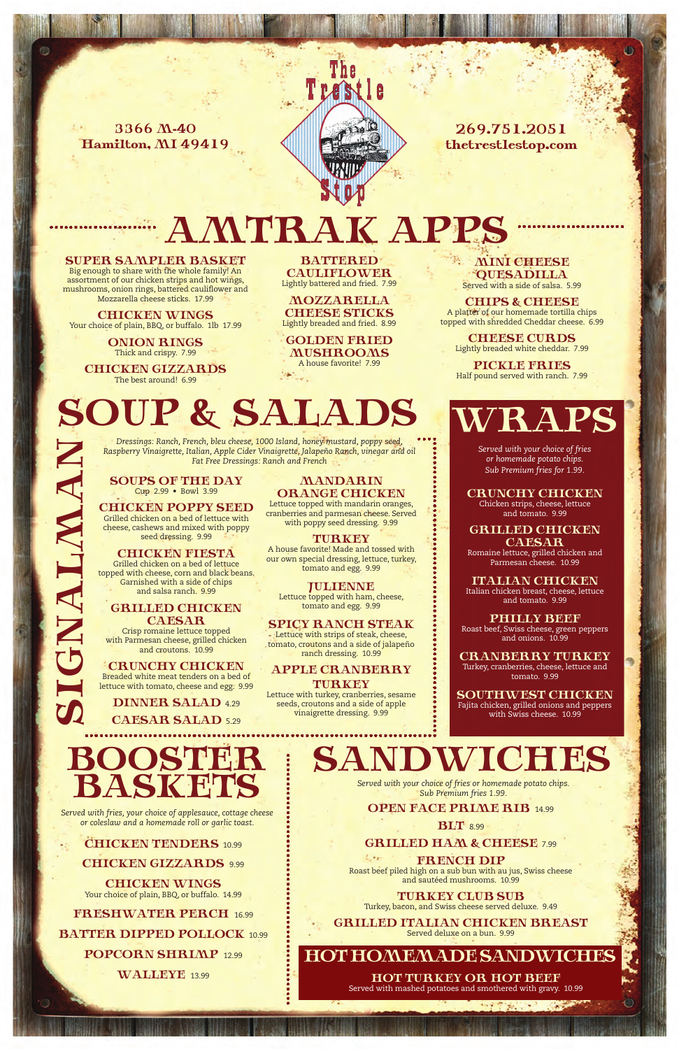SUPER SAMPLER BASKET SUPER SAMPLER BASKET Big enough to share with the whole family! An Big enough to share with the whole family! An assortment of our chicken strips and hot wings, assortment of our chicken strips and hot wings, mushrooms, onion rings, battered cauliflower and mushrooms, onion rings, battered cauliflower and Mozzarella cheese sticks. 17.99

**CHICKEN WINGS** Your choice of plain, BBQ, or buffalo. 1lb 17.99

BATTERED BATTERED CAULIFLOWER CAULIFLOWER Lightly battered and fried. 7.99

Thick and crispy. 5.99

JULIENNE JULIENNE Lettuce topped with ham, cheese, tomato and egg. 9.99

SPICY RANCH STEAK Lettuce with strips of steak, cheese, ranch dressing. 8.99 tomato, croutons and a side of jalapeño ranch dressing. 10.99

APPLE CRANBERRY  $TURKEY$ Lettuce with turkey, cranberries, sesame

rtuce with turkey, crameernes, sesan<br>seeds, croutons and a side of apple vinaigrette dressing. 9.99 Mon. - Sat.

Garnished with a side of chips

and croutons. 10.99

# AMTRAK APPS AMTRAK APPS

# DUL & SALADS<br>Dressings: Ranch, French, bleu cheese, 1000 Island, honey mustard, poppy seed, SOUP & SALADS

## **BOOSTER** Served with fries, your choice of applesauce, cottage chees BOOSTER BASKETS

SANDWICHED *Served with your choice of fries or homemade potato chips. Sub Premium fries 1.99.* SANDWICHES

### **SUB SPEN FACE PRIME RIB 14.99**  $\mathbf{BLT}$  8.99 **GRILLED HAM & CHEESE** 7.99

**GRILLING HAM BLILE FOR SUBSET 7.999 FOR STANDARY ROAST POLIT**<br>Roast beef piled high on a sub bun with au jus, Swiss cheese and sautéed mushrooms. 10.99 FRENCH DIP

 $TURKEY$  CLUB SUB Turkey, bacon, and Swiss cheese served deluxe. 9.49

GRILLED ITALIAN CHICKEN BREAST Served deluxe on a bun 999 Served deluxe on a bun. 9.99

## HOT HOMEMADE SANDWICHES

battered causes of the cheese sticks. 8.999 and the cheese sticks. 8.999 and the cheese sticks. 8.999 and the Thick and crispy. 7.99 ONION RINGS

CHICKEN GIZZARDS The best around! 6.99

> **Cup 2.99 • Bowl 3.99** *Fat Free Dressings: Ranch and French* SOUPS OF THE DAY

CHICKEN POPPY SEED cheese, cashews and mixed with poppy Gridde chicken on a bed of letters and seed dressing. 9.99 Grilled chicken on a bed of lettuce with

cheese, cashews and mixed with population and mixed with population **CHICKEN FIESTA** topped with cheese, corn and black beans. Garnished with a side of chips  $\blacksquare$  and salsa ranch. 9.99 $\blacksquare$ Grilled chicken on a bed of lettuce

**GRILLED CHICKEN** Crisp romaine lettuce topped  $with$  Parmesan cheese, grilled chicken CAESAR

3366 M-40 3366 M-40 Hamilton, MI 49419 Hamilton, MI 49419

> with Parmes and Chicken chicken chicken chicken chicken chicken chicken chicken chicken chicken chicken chicke **CRUNCHY CHICKEN** lettuce with tomato, cheese and egg. 9.99 Breaded white meat tenders on a bed of

ORANGE CHICKEN MANDARIN

Lettuce topped with mandarin oranges, mushrooms, tomato and egg. 8.99 cranberries and parmesan cheese. Served with poppy seed dressing. 9.99

#### TURKEY

A house favorite! Made and tossed with and egg. 8.99 our own special dressing, lettuce, turkey, tomato and egg. 9.99

Served with mashed potatoes and smothered with gravy. 9.99

Chicken strips, cheese, lettuce<br>Chicken strips, cheese, lettuce CRUNCHY CHICKEN

chicken strips, cheese and tomato. 9.99 **GRILLED CHICKEN** 

SIGNALMAN

CAESAR CAESAR Romaine lettuce, grilled chicken and Parmesan cheese. 10.99 Romaine lettuce, grilled chicken and

ITALIAN CHICKEN Italian chicken breast, cheese, lettuce<br>وو معلم معلم معلم مع Italian chicken breast, cheese, lettuce and tomato. 9.99

PHILLY BEEF eer, 5 wiss cheese, green<br>and onions. 10.99 Roast beef, Swiss cheese, green peppers and and onions. 10.99 Roast beef, Swiss cheese, green peppers

**CRANBERRY TURKEY** tomato. 9.99 Turkey, cranberries, cheese, lettuce and

 $\bf\color{red}SOUTHWEST$   $CHICKEN$  $\frac{1}{2}$  with Swiss cheese. 10.99 Fajita chicken, grilled onions and peppers

Breaded white meat tenders on a bed of DINNER SALAD 4.29 CAESAR SALAD 5.29

MOZZARELLA MOZZARELLA CHEESE STICKS CHEESE STICKS Lightly breaded and fried. 5.99 Lightly breaded and fried. 8.99

GOLDEN FRIED GOLDEN FRIED MUSHROOMS MUSHROOMS A house favorite! 5.99 A house favorite! 7.99

# WRAPS WRAPS

CHICKEN GIZZARDS CONTROL

with Swiss cheese. 8.99

MINI CHEESE MINI CHEESE QUESADILLA QUESADILLA Served with a side of salsa. 4.99 Served with a side of salsa. 5.99

CHIPS & CHEESE CHIPS & CHEESE A platter of our homemade tortilla chips A platter of our homemade tortilla chips topped with shredded Cheddar cheese. 5.99 topped with shredded Cheddar cheese. 6.99

CHEESE CURDS Lightly breaded white cheddar. 7.99

PICKLE FRIES Half pound served with ranch. 7.99



269.751.2051  ${\rm \bf thetrest}$ lestop.com

SIGNALMAN

*Dressings: Ranch, French, bleu cheese, 1000 Island, honey mustard, poppy seed, Raspberry Vinaigrette, Italian, Apple Cider Vinaigrette, Jalapeño Ranch, vinegar and oil Raspberry Vinaigrette, Italian, Apple Cider Vinaigrette, Jalapeno Ranch, vinegar and oil Fat Free Dressings: Ranch and French Dressings: Ranch, French, bleu cheese, 1000 Island, honey mustard, poppy seed,* 

*Served with your choice of fries or Served with your choice of fries homemade potato chips. Sub ranch or homemade potato chips. wedges, seasoned fries, or waffle fries Sub Premium fries for 1.99.* 

*Served with fries, your choice of applesauce, cottage cheese or coleslaw and a homemade roll or garlic toast. Served with fries, your choice of applesauce, cottage cheese* 

**CHICKEN TENDERS** 10.99 CHICKEN GIZZARDS 9.99

**CHICKEN WINGS** Your choice of plain, BBQ, or buffalo. 14.99

FRESHWATER PERCH 16.99 BATTER DIPPED POLLOCK 10.99 **POPCORN SHRIMP** 12.99

**WALLEYE** 13.99

HOT TURKEY OR HOT BEEF

Served with mashed potatoes and smothered with gravy. 10.99